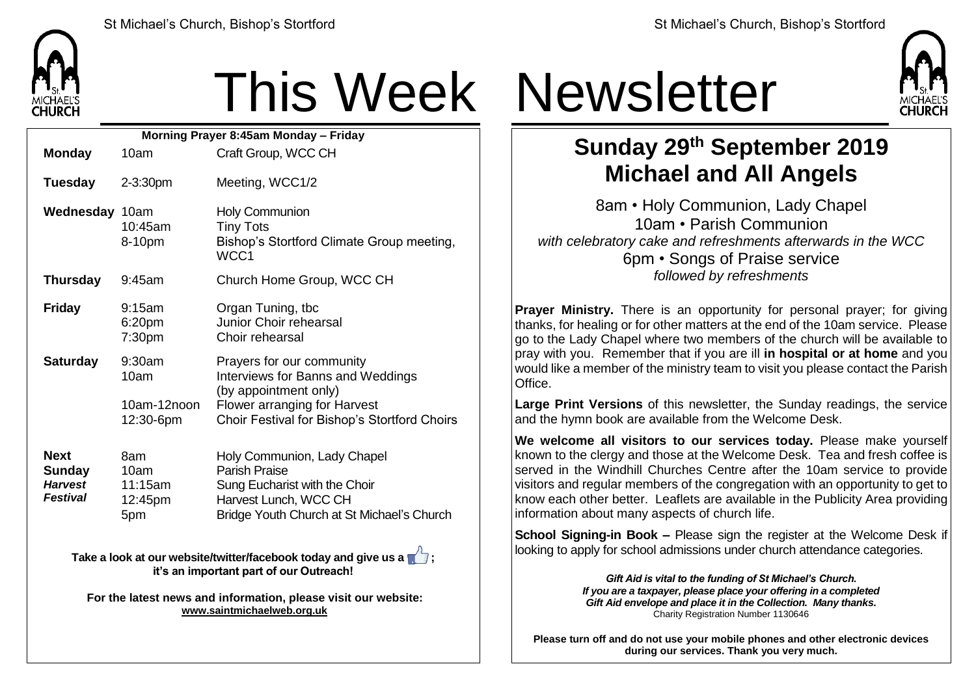

## This Week Newsletter

| Morning Prayer 8:45am Monday - Friday                             |                                            |                                                                                                                                                                         |  |  |  |
|-------------------------------------------------------------------|--------------------------------------------|-------------------------------------------------------------------------------------------------------------------------------------------------------------------------|--|--|--|
| <b>Monday</b>                                                     | 10am                                       | Craft Group, WCC CH                                                                                                                                                     |  |  |  |
| <b>Tuesday</b>                                                    | 2-3:30pm                                   | Meeting, WCC1/2                                                                                                                                                         |  |  |  |
| Wednesday 10am                                                    | $10:45$ am<br>8-10pm                       | <b>Holy Communion</b><br><b>Tiny Tots</b><br>Bishop's Stortford Climate Group meeting,<br>WCC1                                                                          |  |  |  |
| <b>Thursday</b>                                                   | 9:45am                                     | Church Home Group, WCC CH                                                                                                                                               |  |  |  |
| <b>Friday</b>                                                     | 9:15am<br>6:20pm<br>7:30pm                 | Organ Tuning, tbc<br>Junior Choir rehearsal<br>Choir rehearsal                                                                                                          |  |  |  |
| <b>Saturday</b>                                                   | 9:30am<br>10am<br>10am-12noon<br>12:30-6pm | Prayers for our community<br>Interviews for Banns and Weddings<br>(by appointment only)<br>Flower arranging for Harvest<br>Choir Festival for Bishop's Stortford Choirs |  |  |  |
| <b>Next</b><br><b>Sunday</b><br><b>Harvest</b><br><b>Festival</b> | 8am<br>10am<br>11:15am<br>12:45pm<br>5pm   | Holy Communion, Lady Chapel<br><b>Parish Praise</b><br>Sung Eucharist with the Choir<br>Harvest Lunch, WCC CH<br>Bridge Youth Church at St Michael's Church             |  |  |  |

**Take a look at our website/twitter/facebook today and give us a**  $\mathbb{Z}$ **; it's an important part of our Outreach!**

**For the latest news and information, please visit our website: [www.saintmichaelweb.org.uk](http://www.saintmichaelweb.org.uk/)**



## **Sunday 29 th September 2019 Michael and All Angels**

8am • Holy Communion, Lady Chapel 10am • Parish Communion *with celebratory cake and refreshments afterwards in the WCC* 6pm • Songs of Praise service *followed by refreshments*

**Prayer Ministry.** There is an opportunity for personal prayer; for giving thanks, for healing or for other matters at the end of the 10am service. Please go to the Lady Chapel where two members of the church will be available to pray with you. Remember that if you are ill **in hospital or at home** and you would like a member of the ministry team to visit you please contact the Parish Office.

**Large Print Versions** of this newsletter, the Sunday readings, the service and the hymn book are available from the Welcome Desk.

**We welcome all visitors to our services today.** Please make yourself known to the clergy and those at the Welcome Desk. Tea and fresh coffee is served in the Windhill Churches Centre after the 10am service to provide visitors and regular members of the congregation with an opportunity to get to know each other better. Leaflets are available in the Publicity Area providing information about many aspects of church life.

**School Signing-in Book –** Please sign the register at the Welcome Desk if looking to apply for school admissions under church attendance categories.

> *Gift Aid is vital to the funding of St Michael's Church. If you are a taxpayer, please place your offering in a completed Gift Aid envelope and place it in the Collection. Many thanks.* Charity Registration Number 1130646

**Please turn off and do not use your mobile phones and other electronic devices during our services. Thank you very much.**